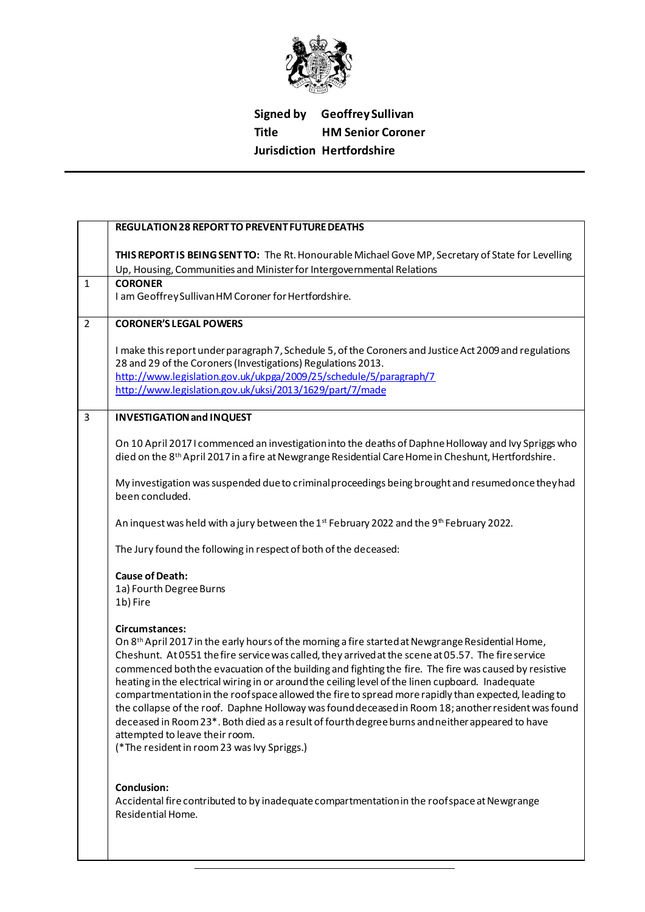

## **Signed by Geoffrey Sullivan Title HM Senior Coroner Jurisdiction Hertfordshire**

|                | <b>REGULATION 28 REPORT TO PREVENT FUTURE DEATHS</b>                                                                                                                                                                                                                                                                                                                                                                                                                                                                                                                                                                                                                                                                                                                                                                                                    |
|----------------|---------------------------------------------------------------------------------------------------------------------------------------------------------------------------------------------------------------------------------------------------------------------------------------------------------------------------------------------------------------------------------------------------------------------------------------------------------------------------------------------------------------------------------------------------------------------------------------------------------------------------------------------------------------------------------------------------------------------------------------------------------------------------------------------------------------------------------------------------------|
|                | THIS REPORT IS BEING SENT TO: The Rt. Honourable Michael Gove MP, Secretary of State for Levelling<br>Up, Housing, Communities and Minister for Intergovernmental Relations                                                                                                                                                                                                                                                                                                                                                                                                                                                                                                                                                                                                                                                                             |
| $\mathbf{1}$   | <b>CORONER</b><br>I am Geoffrey Sullivan HM Coroner for Hertfordshire.                                                                                                                                                                                                                                                                                                                                                                                                                                                                                                                                                                                                                                                                                                                                                                                  |
| $\overline{2}$ | <b>CORONER'S LEGAL POWERS</b>                                                                                                                                                                                                                                                                                                                                                                                                                                                                                                                                                                                                                                                                                                                                                                                                                           |
|                | I make this report under paragraph 7, Schedule 5, of the Coroners and Justice Act 2009 and regulations<br>28 and 29 of the Coroners (Investigations) Regulations 2013.<br>http://www.legislation.gov.uk/ukpga/2009/25/schedule/5/paragraph/7<br>http://www.legislation.gov.uk/uksi/2013/1629/part/7/made                                                                                                                                                                                                                                                                                                                                                                                                                                                                                                                                                |
| $\overline{3}$ | <b>INVESTIGATION and INQUEST</b>                                                                                                                                                                                                                                                                                                                                                                                                                                                                                                                                                                                                                                                                                                                                                                                                                        |
|                | On 10 April 2017 I commenced an investigation into the deaths of Daphne Holloway and Ivy Spriggs who<br>died on the 8 <sup>th</sup> April 2017 in a fire at Newgrange Residential Care Home in Cheshunt, Hertfordshire.                                                                                                                                                                                                                                                                                                                                                                                                                                                                                                                                                                                                                                 |
|                | My investigation was suspended due to criminal proceedings being brought and resumed once they had<br>been concluded.                                                                                                                                                                                                                                                                                                                                                                                                                                                                                                                                                                                                                                                                                                                                   |
|                | An inquest was held with a jury between the 1st February 2022 and the 9th February 2022.                                                                                                                                                                                                                                                                                                                                                                                                                                                                                                                                                                                                                                                                                                                                                                |
|                | The Jury found the following in respect of both of the deceased:                                                                                                                                                                                                                                                                                                                                                                                                                                                                                                                                                                                                                                                                                                                                                                                        |
|                | <b>Cause of Death:</b><br>1a) Fourth Degree Burns<br>1b) Fire                                                                                                                                                                                                                                                                                                                                                                                                                                                                                                                                                                                                                                                                                                                                                                                           |
|                | Circumstances:<br>On 8 <sup>th</sup> April 2017 in the early hours of the morning a fire started at Newgrange Residential Home,<br>Cheshunt. At 0551 the fire service was called, they arrived at the scene at 05.57. The fire service<br>commenced both the evacuation of the building and fighting the fire. The fire was caused by resistive<br>heating in the electrical wiring in or around the ceiling level of the linen cupboard. Inadequate<br>compartmentation in the roof space allowed the fire to spread more rapidly than expected, leading to<br>the collapse of the roof. Daphne Holloway was found deceased in Room 18; another resident was found<br>deceased in Room 23*. Both died as a result of fourth degree burns and neither appeared to have<br>attempted to leave their room.<br>(*The resident in room 23 was Ivy Spriggs.) |
|                | <b>Conclusion:</b><br>Accidental fire contributed to by inadequate compartmentation in the roof space at Newgrange<br>Residential Home.                                                                                                                                                                                                                                                                                                                                                                                                                                                                                                                                                                                                                                                                                                                 |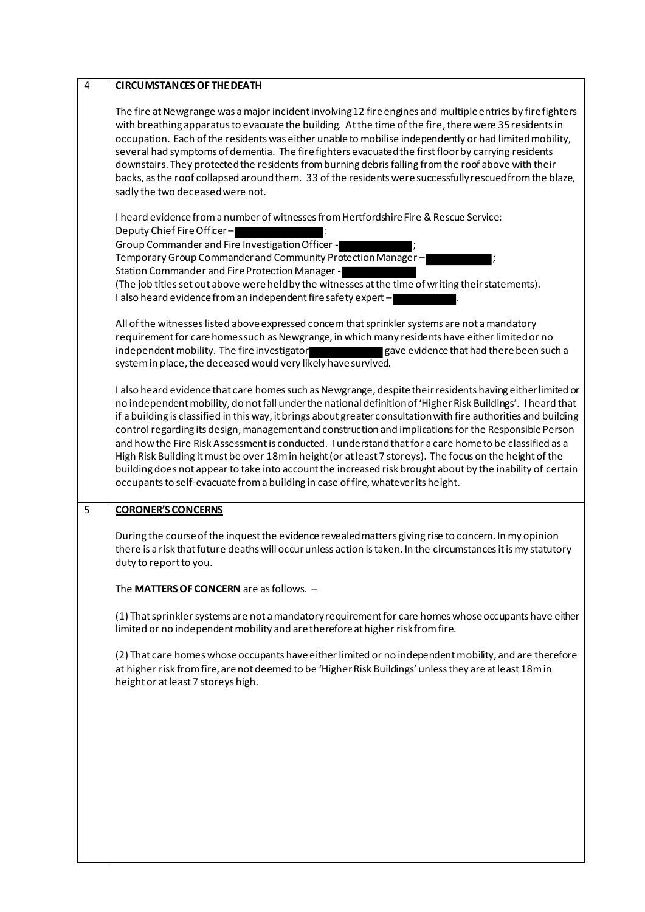| $\overline{4}$ | <b>CIRCUMSTANCES OF THE DEATH</b>                                                                                                                                                                                                                                                                                                                                                                                                                                                                                                                                                                                                                                                                                                                                                         |
|----------------|-------------------------------------------------------------------------------------------------------------------------------------------------------------------------------------------------------------------------------------------------------------------------------------------------------------------------------------------------------------------------------------------------------------------------------------------------------------------------------------------------------------------------------------------------------------------------------------------------------------------------------------------------------------------------------------------------------------------------------------------------------------------------------------------|
|                | The fire at Newgrange was a major incident involving 12 fire engines and multiple entries by fire fighters<br>with breathing apparatus to evacuate the building. At the time of the fire, there were 35 residents in<br>occupation. Each of the residents was either unable to mobilise independently or had limited mobility,<br>several had symptoms of dementia. The fire fighters evacuated the first floor by carrying residents<br>downstairs. They protected the residents from burning debris falling from the roof above with their<br>backs, as the roof collapsed around them. 33 of the residents were successfully rescued from the blaze,<br>sadly the two deceased were not.                                                                                               |
|                | I heard evidence from a number of witnesses from Hertfordshire Fire & Rescue Service:<br>Deputy Chief Fire Officer-<br>Group Commander and Fire Investigation Officer -<br>Temporary Group Commander and Community Protection Manager-<br>Station Commander and Fire Protection Manager -<br>(The job titles set out above were held by the witnesses at the time of writing their statements).<br>I also heard evidence from an independent fire safety expert -                                                                                                                                                                                                                                                                                                                         |
|                | All of the witnesses listed above expressed concern that sprinkler systems are not a mandatory<br>requirement for care homessuch as Newgrange, in which many residents have either limited or no<br>independent mobility. The fire investigator<br>gave evidence that had there been such a<br>system in place, the deceased would very likely have survived.                                                                                                                                                                                                                                                                                                                                                                                                                             |
|                | I also heard evidence that care homes such as Newgrange, despite their residents having either limited or<br>no independent mobility, do not fall under the national definition of 'Higher Risk Buildings'. I heard that<br>if a building is classified in this way, it brings about greater consultation with fire authorities and building<br>control regarding its design, management and construction and implications for the Responsible Person<br>and how the Fire Risk Assessment is conducted. I understand that for a care home to be classified as a<br>High Risk Building it must be over 18m in height (or at least 7 storeys). The focus on the height of the<br>building does not appear to take into account the increased risk brought about by the inability of certain |
|                | occupants to self-evacuate from a building in case of fire, whatever its height.                                                                                                                                                                                                                                                                                                                                                                                                                                                                                                                                                                                                                                                                                                          |
| 5              | <b>CORONER'S CONCERNS</b>                                                                                                                                                                                                                                                                                                                                                                                                                                                                                                                                                                                                                                                                                                                                                                 |
|                | During the course of the inquest the evidence revealed matters giving rise to concern. In my opinion<br>there is a risk that future deaths will occur unless action is taken. In the circumstances it is my statutory<br>duty to report to you.                                                                                                                                                                                                                                                                                                                                                                                                                                                                                                                                           |
|                | The MATTERS OF CONCERN are as follows. -                                                                                                                                                                                                                                                                                                                                                                                                                                                                                                                                                                                                                                                                                                                                                  |
|                | (1) That sprinkler systems are not a mandatory requirement for care homes whose occupants have either<br>limited or no independent mobility and are therefore at higher risk from fire.                                                                                                                                                                                                                                                                                                                                                                                                                                                                                                                                                                                                   |
|                | (2) That care homes whose occupants have either limited or no independent mobility, and are therefore<br>at higher risk from fire, are not deemed to be 'Higher Risk Buildings' unless they are at least 18m in<br>height or at least 7 storeys high.                                                                                                                                                                                                                                                                                                                                                                                                                                                                                                                                     |
|                |                                                                                                                                                                                                                                                                                                                                                                                                                                                                                                                                                                                                                                                                                                                                                                                           |
|                |                                                                                                                                                                                                                                                                                                                                                                                                                                                                                                                                                                                                                                                                                                                                                                                           |